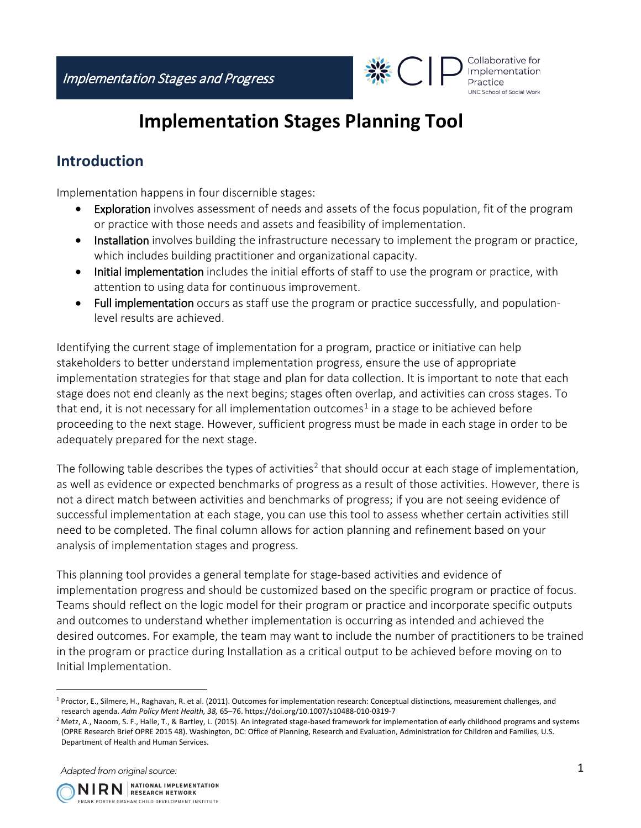

## **Implementation Stages Planning Tool**

## **Introduction**

Implementation happens in four discernible stages:

- Exploration involves assessment of needs and assets of the focus population, fit of the program or practice with those needs and assets and feasibility of implementation.
- Installation involves building the infrastructure necessary to implement the program or practice, which includes building practitioner and organizational capacity.
- Initial implementation includes the initial efforts of staff to use the program or practice, with attention to using data for continuous improvement.
- Full implementation occurs as staff use the program or practice successfully, and populationlevel results are achieved.

Identifying the current stage of implementation for a program, practice or initiative can help stakeholders to better understand implementation progress, ensure the use of appropriate implementation strategies for that stage and plan for data collection. It is important to note that each stage does not end cleanly as the next begins; stages often overlap, and activities can cross stages. To that end, it is not necessary for all implementation outcomes<sup>[1](#page-0-0)</sup> in a stage to be achieved before proceeding to the next stage. However, sufficient progress must be made in each stage in order to be adequately prepared for the next stage.

The following table describes the types of activities<sup>[2](#page-0-1)</sup> that should occur at each stage of implementation, as well as evidence or expected benchmarks of progress as a result of those activities. However, there is not a direct match between activities and benchmarks of progress; if you are not seeing evidence of successful implementation at each stage, you can use this tool to assess whether certain activities still need to be completed. The final column allows for action planning and refinement based on your analysis of implementation stages and progress.

This planning tool provides a general template for stage-based activities and evidence of implementation progress and should be customized based on the specific program or practice of focus. Teams should reflect on the logic model for their program or practice and incorporate specific outputs and outcomes to understand whether implementation is occurring as intended and achieved the desired outcomes. For example, the team may want to include the number of practitioners to be trained in the program or practice during Installation as a critical output to be achieved before moving on to Initial Implementation.

Adapted from original source:



<span id="page-0-0"></span><sup>1</sup> Proctor, E., Silmere, H., Raghavan, R. et al. (2011). Outcomes for implementation research: Conceptual distinctions, measurement challenges, and research agenda. *Adm Policy Ment Health, 38,* 65–76. https://doi.org/10.1007/s10488-010-0319-7

<span id="page-0-1"></span><sup>&</sup>lt;sup>2</sup> Metz, A., Naoom, S. F., Halle, T., & Bartley, L. (2015). An integrated stage-based framework for implementation of early childhood programs and systems (OPRE Research Brief OPRE 2015 48). Washington, DC: Office of Planning, Research and Evaluation, Administration for Children and Families, U.S. Department of Health and Human Services.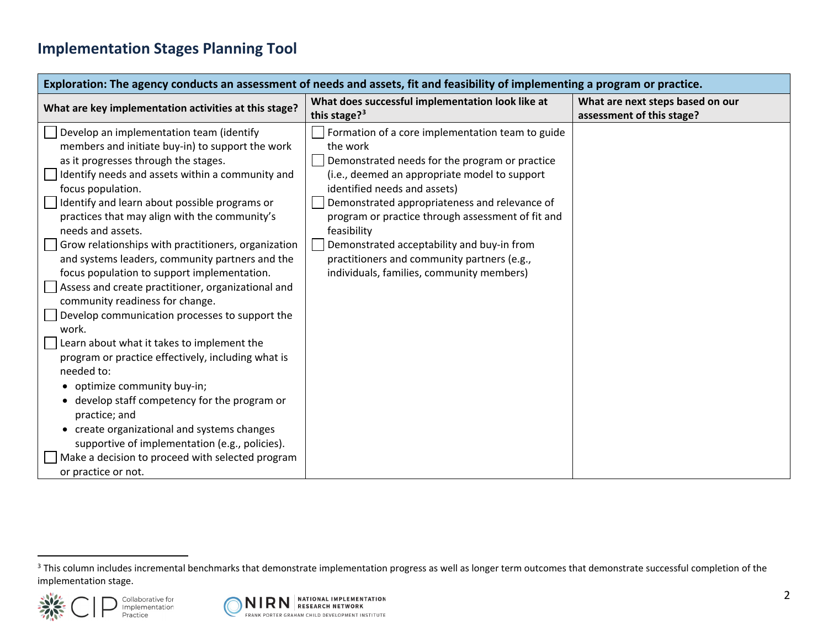## <span id="page-1-0"></span>**Implementation Stages Planning Tool**

| Exploration: The agency conducts an assessment of needs and assets, fit and feasibility of implementing a program or practice.                                                                                                                                                                                                                                                                                                                                                                                                                                                                                                                                                                                                                                                                                                                                                                                                                                                                                                                  |                                                                                                                                                                                                                                                                                                                                                                                                                                                                |                                                               |  |  |
|-------------------------------------------------------------------------------------------------------------------------------------------------------------------------------------------------------------------------------------------------------------------------------------------------------------------------------------------------------------------------------------------------------------------------------------------------------------------------------------------------------------------------------------------------------------------------------------------------------------------------------------------------------------------------------------------------------------------------------------------------------------------------------------------------------------------------------------------------------------------------------------------------------------------------------------------------------------------------------------------------------------------------------------------------|----------------------------------------------------------------------------------------------------------------------------------------------------------------------------------------------------------------------------------------------------------------------------------------------------------------------------------------------------------------------------------------------------------------------------------------------------------------|---------------------------------------------------------------|--|--|
| What are key implementation activities at this stage?                                                                                                                                                                                                                                                                                                                                                                                                                                                                                                                                                                                                                                                                                                                                                                                                                                                                                                                                                                                           | What does successful implementation look like at<br>this stage? <sup>3</sup>                                                                                                                                                                                                                                                                                                                                                                                   | What are next steps based on our<br>assessment of this stage? |  |  |
| Develop an implementation team (identify<br>members and initiate buy-in) to support the work<br>as it progresses through the stages.<br>Identify needs and assets within a community and<br>focus population.<br>Identify and learn about possible programs or<br>practices that may align with the community's<br>needs and assets.<br>Grow relationships with practitioners, organization<br>and systems leaders, community partners and the<br>focus population to support implementation.<br>Assess and create practitioner, organizational and<br>community readiness for change.<br>Develop communication processes to support the<br>work.<br>Learn about what it takes to implement the<br>program or practice effectively, including what is<br>needed to:<br>• optimize community buy-in;<br>develop staff competency for the program or<br>practice; and<br>• create organizational and systems changes<br>supportive of implementation (e.g., policies).<br>Make a decision to proceed with selected program<br>or practice or not. | Formation of a core implementation team to guide<br>the work<br>Demonstrated needs for the program or practice<br>(i.e., deemed an appropriate model to support<br>identified needs and assets)<br>Demonstrated appropriateness and relevance of<br>program or practice through assessment of fit and<br>feasibility<br>Demonstrated acceptability and buy-in from<br>practitioners and community partners (e.g.,<br>individuals, families, community members) |                                                               |  |  |

<sup>&</sup>lt;sup>3</sup> This column includes incremental benchmarks that demonstrate implementation progress as well as longer term outcomes that demonstrate successful completion of the implementation stage.



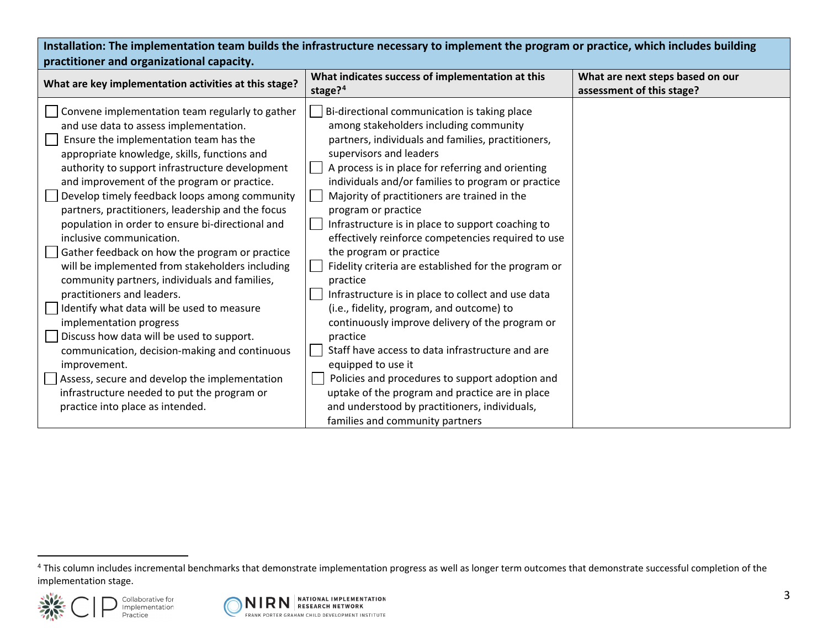<span id="page-2-0"></span>

| Installation: The implementation team builds the infrastructure necessary to implement the program or practice, which includes building<br>practitioner and organizational capacity.                                                                                                                                                                                                                                                                                                                                                                                                                                                                                                                                                                                                                                                                                                                                                                                                       |                                                                                                                                                                                                                                                                                                                                                                                                                                                                                                                                                                                                                                                                                                                                                                                                                                                                                                                                                                        |                                                               |  |  |
|--------------------------------------------------------------------------------------------------------------------------------------------------------------------------------------------------------------------------------------------------------------------------------------------------------------------------------------------------------------------------------------------------------------------------------------------------------------------------------------------------------------------------------------------------------------------------------------------------------------------------------------------------------------------------------------------------------------------------------------------------------------------------------------------------------------------------------------------------------------------------------------------------------------------------------------------------------------------------------------------|------------------------------------------------------------------------------------------------------------------------------------------------------------------------------------------------------------------------------------------------------------------------------------------------------------------------------------------------------------------------------------------------------------------------------------------------------------------------------------------------------------------------------------------------------------------------------------------------------------------------------------------------------------------------------------------------------------------------------------------------------------------------------------------------------------------------------------------------------------------------------------------------------------------------------------------------------------------------|---------------------------------------------------------------|--|--|
| What are key implementation activities at this stage?                                                                                                                                                                                                                                                                                                                                                                                                                                                                                                                                                                                                                                                                                                                                                                                                                                                                                                                                      | What indicates success of implementation at this<br>stage? $4$                                                                                                                                                                                                                                                                                                                                                                                                                                                                                                                                                                                                                                                                                                                                                                                                                                                                                                         | What are next steps based on our<br>assessment of this stage? |  |  |
| Convene implementation team regularly to gather<br>and use data to assess implementation.<br>Ensure the implementation team has the<br>appropriate knowledge, skills, functions and<br>authority to support infrastructure development<br>and improvement of the program or practice.<br>Develop timely feedback loops among community<br>partners, practitioners, leadership and the focus<br>population in order to ensure bi-directional and<br>inclusive communication.<br>Gather feedback on how the program or practice<br>will be implemented from stakeholders including<br>community partners, individuals and families,<br>practitioners and leaders.<br>Identify what data will be used to measure<br>implementation progress<br>Discuss how data will be used to support.<br>communication, decision-making and continuous<br>improvement.<br>Assess, secure and develop the implementation<br>infrastructure needed to put the program or<br>practice into place as intended. | Bi-directional communication is taking place<br>among stakeholders including community<br>partners, individuals and families, practitioners,<br>supervisors and leaders<br>A process is in place for referring and orienting<br>individuals and/or families to program or practice<br>Majority of practitioners are trained in the<br>program or practice<br>Infrastructure is in place to support coaching to<br>effectively reinforce competencies required to use<br>the program or practice<br>Fidelity criteria are established for the program or<br>practice<br>Infrastructure is in place to collect and use data<br>(i.e., fidelity, program, and outcome) to<br>continuously improve delivery of the program or<br>practice<br>Staff have access to data infrastructure and are<br>equipped to use it<br>Policies and procedures to support adoption and<br>uptake of the program and practice are in place<br>and understood by practitioners, individuals, |                                                               |  |  |
|                                                                                                                                                                                                                                                                                                                                                                                                                                                                                                                                                                                                                                                                                                                                                                                                                                                                                                                                                                                            | families and community partners                                                                                                                                                                                                                                                                                                                                                                                                                                                                                                                                                                                                                                                                                                                                                                                                                                                                                                                                        |                                                               |  |  |

 $\overline{a}$ 



<sup>&</sup>lt;sup>4</sup> This column includes incremental benchmarks that demonstrate implementation progress as well as longer term outcomes that demonstrate successful completion of the implementation stage.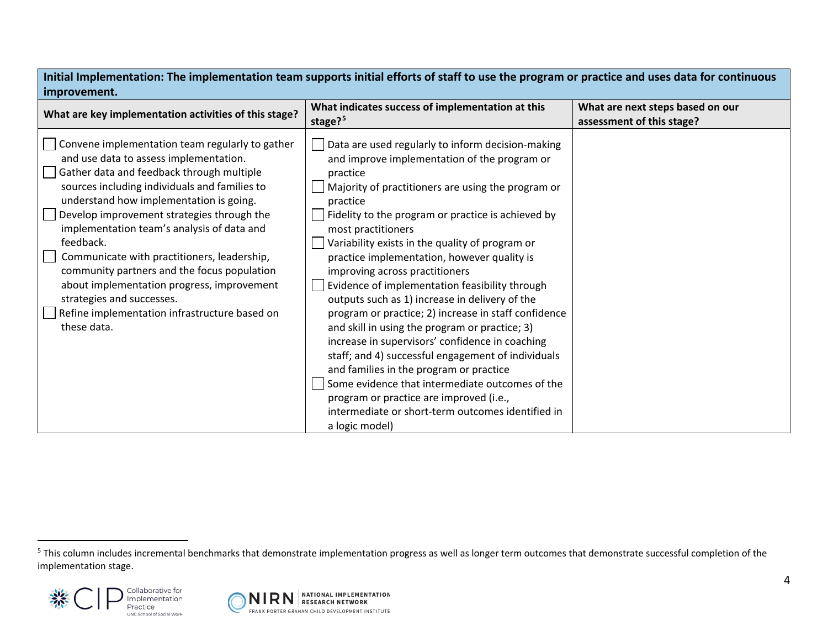| improvement.                                                                                                                                                                                                                                                                                                                                                                                                                                                                                                                                                                         |                                                                                                                                                                                                                                                                                                                                                                                                                                                                                                                                                                                                                                                                                                                                                                                                                                                                                                                                        |                                                               |  |  |
|--------------------------------------------------------------------------------------------------------------------------------------------------------------------------------------------------------------------------------------------------------------------------------------------------------------------------------------------------------------------------------------------------------------------------------------------------------------------------------------------------------------------------------------------------------------------------------------|----------------------------------------------------------------------------------------------------------------------------------------------------------------------------------------------------------------------------------------------------------------------------------------------------------------------------------------------------------------------------------------------------------------------------------------------------------------------------------------------------------------------------------------------------------------------------------------------------------------------------------------------------------------------------------------------------------------------------------------------------------------------------------------------------------------------------------------------------------------------------------------------------------------------------------------|---------------------------------------------------------------|--|--|
| What are key implementation activities of this stage?                                                                                                                                                                                                                                                                                                                                                                                                                                                                                                                                | What indicates success of implementation at this<br>stage? <sup>5</sup>                                                                                                                                                                                                                                                                                                                                                                                                                                                                                                                                                                                                                                                                                                                                                                                                                                                                | What are next steps based on our<br>assessment of this stage? |  |  |
| Convene implementation team regularly to gather<br>and use data to assess implementation.<br>Gather data and feedback through multiple<br>sources including individuals and families to<br>understand how implementation is going.<br>Develop improvement strategies through the<br>implementation team's analysis of data and<br>feedback.<br>Communicate with practitioners, leadership,<br>community partners and the focus population<br>about implementation progress, improvement<br>strategies and successes.<br>Refine implementation infrastructure based on<br>these data. | Data are used regularly to inform decision-making<br>and improve implementation of the program or<br>practice<br>Majority of practitioners are using the program or<br>practice<br>Fidelity to the program or practice is achieved by<br>most practitioners<br>Variability exists in the quality of program or<br>practice implementation, however quality is<br>improving across practitioners<br>Evidence of implementation feasibility through<br>outputs such as 1) increase in delivery of the<br>program or practice; 2) increase in staff confidence<br>and skill in using the program or practice; 3)<br>increase in supervisors' confidence in coaching<br>staff; and 4) successful engagement of individuals<br>and families in the program or practice<br>Some evidence that intermediate outcomes of the<br>program or practice are improved (i.e.,<br>intermediate or short-term outcomes identified in<br>a logic model) |                                                               |  |  |

<span id="page-3-0"></span>**Initial Implementation: The implementation team supports initial efforts of staff to use the program or practice and uses data for continuous** 

<sup>&</sup>lt;sup>5</sup> This column includes incremental benchmarks that demonstrate implementation progress as well as longer term outcomes that demonstrate successful completion of the implementation stage.



 $\overline{a}$